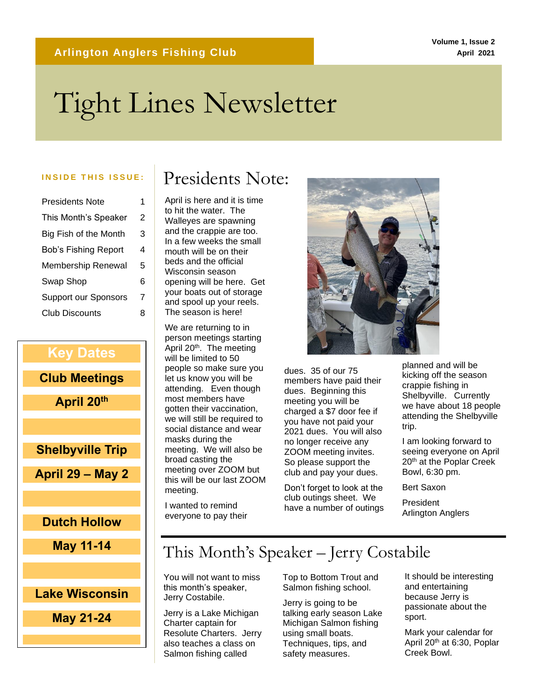#### **Volume 1, Issue 2 April 2021**

# Tight Lines Newsletter

| Presidents Note             | 1 |
|-----------------------------|---|
| This Month's Speaker        | 2 |
| Big Fish of the Month       | 3 |
| <b>Bob's Fishing Report</b> | 4 |
| Membership Renewal          | 5 |
| Swap Shop                   | 6 |
| <b>Support our Sponsors</b> | 7 |
| <b>Club Discounts</b>       | 8 |

# **Key Dates Club Meetings April 20th Shelbyville Trip April 29 – May 2 Dutch Hollow May 11-14 Lake Wisconsin**

**May 21-24**

## INSIDE THIS ISSUE: **Presidents Note:**

April is here and it is time to hit the water. The Walleyes are spawning and the crappie are too. In a few weeks the small mouth will be on their beds and the official Wisconsin season opening will be here. Get your boats out of storage and spool up your reels. The season is here!

We are returning to in person meetings starting April 20<sup>th</sup>. The meeting will be limited to 50 people so make sure you let us know you will be attending. Even though most members have gotten their vaccination, we will still be required to social distance and wear masks during the meeting. We will also be broad casting the meeting over ZOOM but this will be our last ZOOM meeting.

I wanted to remind everyone to pay their



dues. 35 of our 75 members have paid their dues. Beginning this meeting you will be charged a \$7 door fee if you have not paid your 2021 dues. You will also no longer receive any ZOOM meeting invites. So please support the club and pay your dues.

Don't forget to look at the club outings sheet. We have a number of outings

planned and will be kicking off the season crappie fishing in Shelbyville. Currently we have about 18 people attending the Shelbyville trip.

I am looking forward to seeing everyone on April 20<sup>th</sup> at the Poplar Creek Bowl, 6:30 pm.

Bert Saxon

President Arlington Anglers

## This Month's Speaker – Jerry Costabile

You will not want to miss this month's speaker, Jerry Costabile.

Jerry is a Lake Michigan Charter captain for Resolute Charters. Jerry also teaches a class on Salmon fishing called

Top to Bottom Trout and Salmon fishing school.

Jerry is going to be talking early season Lake Michigan Salmon fishing using small boats. Techniques, tips, and safety measures.

It should be interesting and entertaining because Jerry is passionate about the sport.

Mark your calendar for April 20th at 6:30, Poplar Creek Bowl.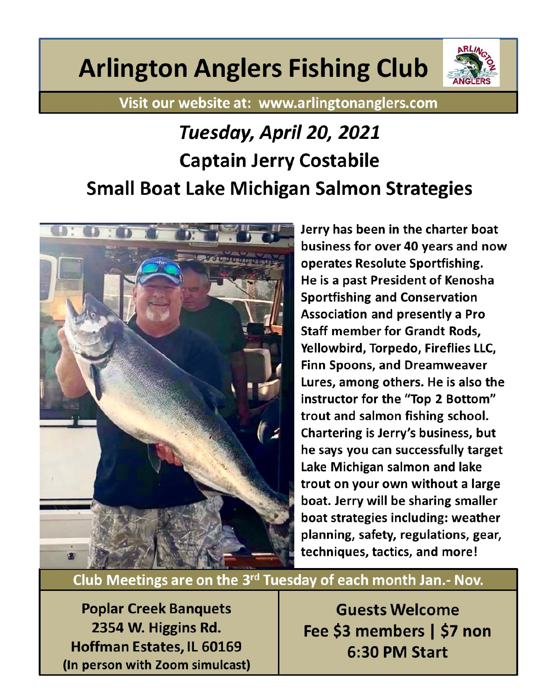# **Arlington Anglers Fishing Club**



Visit our website at: www.arlingtonanglers.com

# Tuesday, April 20, 2021 **Captain Jerry Costabile Small Boat Lake Michigan Salmon Strategies**



Jerry has been in the charter boat business for over 40 years and now operates Resolute Sportfishing. He is a past President of Kenosha **Sportfishing and Conservation Association and presently a Pro Staff member for Grandt Rods,** Yellowbird, Torpedo, Fireflies LLC, **Finn Spoons, and Dreamweaver** Lures, among others. He is also the instructor for the "Top 2 Bottom" trout and salmon fishing school. Chartering is Jerry's business, but he says you can successfully target Lake Michigan salmon and lake trout on your own without a large boat. Jerry will be sharing smaller boat strategies including: weather planning, safety, regulations, gear, techniques, tactics, and more!

Club Meetings are on the 3rd Tuesday of each month Jan.- Nov.

**Poplar Creek Banquets** 2354 W. Higgins Rd. Hoffman Estates, IL 60169 (In person with Zoom simulcast)

**Guests Welcome** Fee \$3 members | \$7 non 6:30 PM Start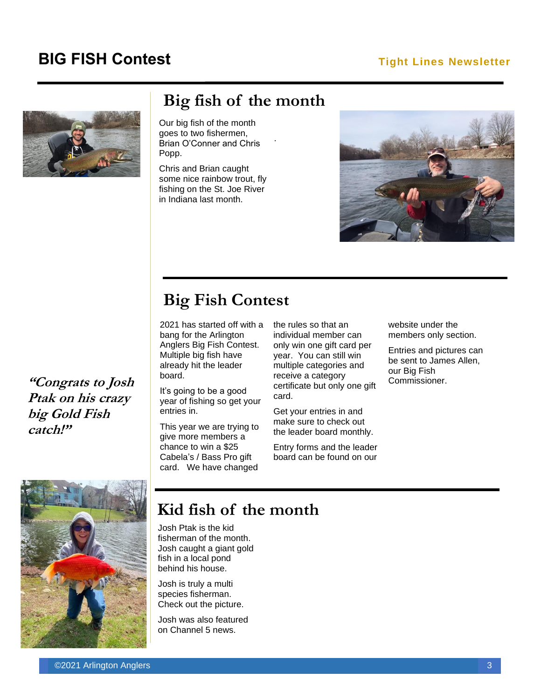## **BIG FISH Contest Tight Lines Newsletter**



## **Big fish of the month**

.

Our big fish of the month goes to two fishermen, Brian O'Conner and Chris Popp.

Chris and Brian caught some nice rainbow trout, fly fishing on the St. Joe River in Indiana last month.



**Big Fish Contest**

2021 has started off with a bang for the Arlington Anglers Big Fish Contest. Multiple big fish have already hit the leader board.

It's going to be a good year of fishing so get your entries in.

This year we are trying to give more members a chance to win a \$25 Cabela's / Bass Pro gift card. We have changed

the rules so that an individual member can only win one gift card per year. You can still win multiple categories and receive a category certificate but only one gift card.

Get your entries in and make sure to check out the leader board monthly.

Entry forms and the leader board can be found on our website under the members only section.

Entries and pictures can be sent to James Allen, our Big Fish Commissioner.

**"Congrats to Josh Ptak on his crazy big Gold Fish catch!"**



Josh Ptak is the kid fisherman of the month. Josh caught a giant gold fish in a local pond behind his house.

Josh is truly a multi species fisherman. Check out the picture.

Josh was also featured on Channel 5 news.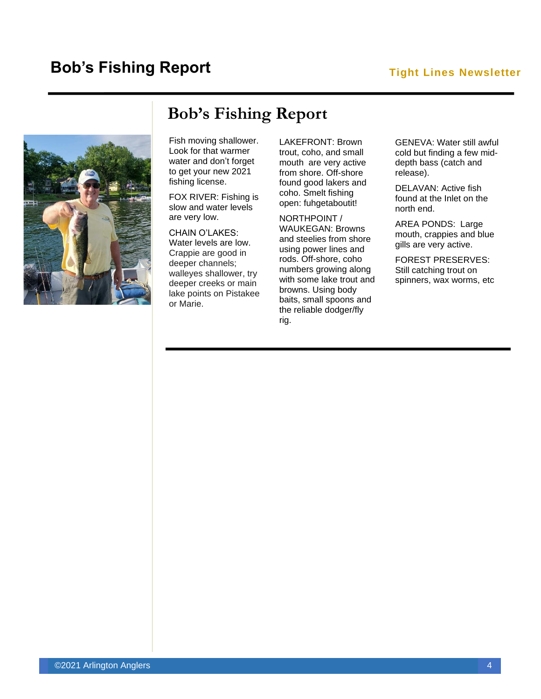## **Bob's Fishing Report**

#### **Tight Lines Newsletter**



## **Bob's Fishing Report**

Fish moving shallower. Look for that warmer water and don't forget to get your new 2021 fishing license.

FOX RIVER: Fishing is slow and water levels are very low.

#### CHAIN O'LAKES:

Water levels are low. Crappie are good in deeper channels; walleyes shallower, try deeper creeks or main lake points on Pistakee or Marie.

LAKEFRONT: Brown trout, coho, and small mouth are very active from shore. Off-shore found good lakers and coho. Smelt fishing open: fuhgetaboutit!

NORTHPOINT / WAUKEGAN: Browns and steelies from shore using power lines and rods. Off-shore, coho numbers growing along with some lake trout and browns. Using body baits, small spoons and the reliable dodger/fly rig.

GENEVA: Water still awful cold but finding a few middepth bass (catch and release).

DELAVAN: Active fish found at the Inlet on the north end.

AREA PONDS: Large mouth, crappies and blue gills are very active.

FOREST PRESERVES: Still catching trout on spinners, wax worms, etc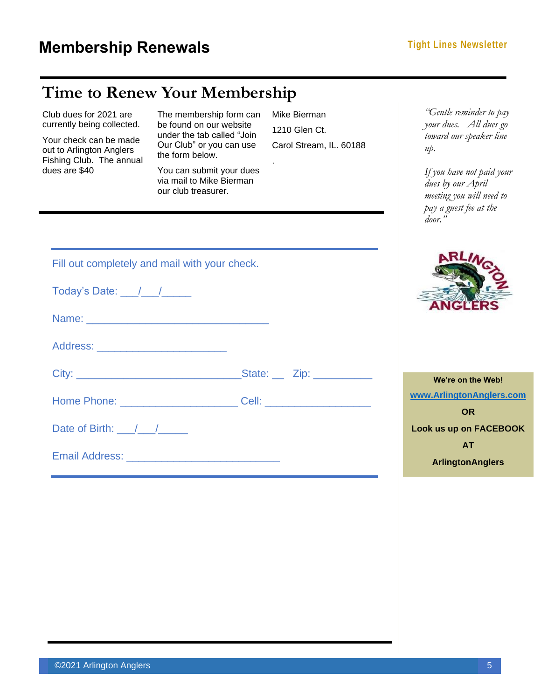## **Time to Renew Your Membership**

| Club dues for 2021 are<br>currently being collected.<br>Your check can be made<br>out to Arlington Anglers<br>Fishing Club. The annual<br>dues are \$40<br>Today's Date: $\frac{1}{\sqrt{1-\frac{1}{2}}}\$<br>Address: _____________________________ | The membership form can<br>be found on our website<br>under the tab called "Join<br>Our Club" or you can use<br>the form below.<br>You can submit your dues<br>via mail to Mike Bierman<br>our club treasurer.<br>Fill out completely and mail with your check.<br>Name: Name: Name: Name: Name: Name: Name: Name: Name: Name: Name: Name: Name: Name: Name: Name: Name: Name: Name: Name: Name: Name: Name: Name: Name: Name: Name: Name: Name: Name: Name: Name: Name: Name: Name: Name: Name: | Mike Bierman<br>1210 Glen Ct.<br>Carol Stream, IL. 60188 | "Gentle reminder to pay<br>your dues. All dues go<br>toward our speaker line<br>$u\mathcal{D}$ .<br>If you have not paid your<br>dues by our April<br>meeting you will need to<br>pay a guest fee at the<br>$door.$ " |
|------------------------------------------------------------------------------------------------------------------------------------------------------------------------------------------------------------------------------------------------------|--------------------------------------------------------------------------------------------------------------------------------------------------------------------------------------------------------------------------------------------------------------------------------------------------------------------------------------------------------------------------------------------------------------------------------------------------------------------------------------------------|----------------------------------------------------------|-----------------------------------------------------------------------------------------------------------------------------------------------------------------------------------------------------------------------|
|                                                                                                                                                                                                                                                      |                                                                                                                                                                                                                                                                                                                                                                                                                                                                                                  |                                                          | We're on the Web!                                                                                                                                                                                                     |
|                                                                                                                                                                                                                                                      | Home Phone: <u>______________________________</u> Cell: ______________________________                                                                                                                                                                                                                                                                                                                                                                                                           |                                                          | www.ArlingtonAnglers.com<br><b>OR</b>                                                                                                                                                                                 |
| Date of Birth: $\frac{1}{\sqrt{1-\frac{1}{2}}}}$                                                                                                                                                                                                     |                                                                                                                                                                                                                                                                                                                                                                                                                                                                                                  |                                                          | <b>Look us up on FACEBOOK</b>                                                                                                                                                                                         |
|                                                                                                                                                                                                                                                      | Email Address: North American State Communications of the Communication of the Communication of the Communication                                                                                                                                                                                                                                                                                                                                                                                |                                                          | <b>AT</b><br><b>ArlingtonAnglers</b>                                                                                                                                                                                  |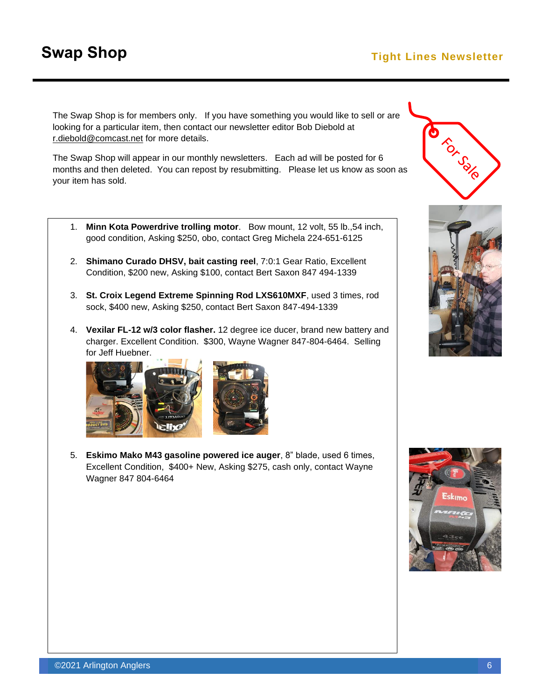## **Swap Shop Tight Lines Newsletter**

The Swap Shop is for members only. If you have something you would like to sell or are looking for a particular item, then contact our newsletter editor Bob Diebold at [r.diebold@comcast.net](mailto:r.diebold@comcast.net) for more details.

The Swap Shop will appear in our monthly newsletters. Each ad will be posted for 6 months and then deleted. You can repost by resubmitting. Please let us know as soon as your item has sold.

- 1. **Minn Kota Powerdrive trolling motor**. Bow mount, 12 volt, 55 lb.,54 inch, good condition, Asking \$250, obo, contact Greg Michela 224-651-6125
- 2. **Shimano Curado DHSV, bait casting reel**, 7:0:1 Gear Ratio, Excellent Condition, \$200 new, Asking \$100, contact Bert Saxon 847 494-1339
- 3. **St. Croix Legend Extreme Spinning Rod LXS610MXF**, used 3 times, rod sock, \$400 new, Asking \$250, contact Bert Saxon 847-494-1339
- 4. **Vexilar FL-12 w/3 color flasher.** 12 degree ice ducer, brand new battery and charger. Excellent Condition. \$300, Wayne Wagner 847-804-6464. Selling for Jeff Huebner.



5. **Eskimo Mako M43 gasoline powered ice auger**, 8" blade, used 6 times, Excellent Condition, \$400+ New, Asking \$275, cash only, contact Wayne Wagner 847 804-6464





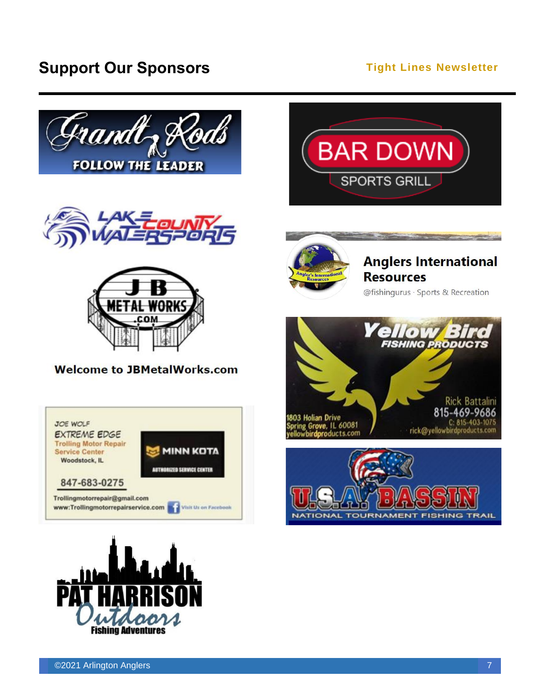## **Support Our Sponsors Constant Constant Constant Constant Constant Constant Constant Constant Constant Constant Constant Constant Constant Constant Constant Constant Constant Constant Constant Constant Constant Constant**







#### **Welcome to JBMetalWorks.com**









## **Anglers International Resources**

@fishingurus · Sports & Recreation